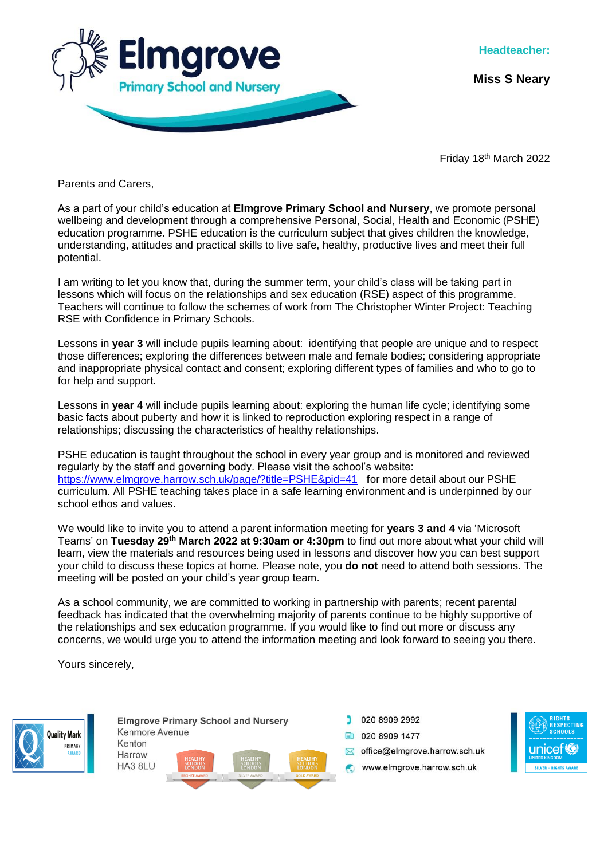

**Headteacher:**

**Miss S Neary**

Friday 18th March 2022

Parents and Carers,

As a part of your child's education at **Elmgrove Primary School and Nursery**, we promote personal wellbeing and development through a comprehensive Personal, Social, Health and Economic (PSHE) education programme. PSHE education is the curriculum subject that gives children the knowledge, understanding, attitudes and practical skills to live safe, healthy, productive lives and meet their full potential.

I am writing to let you know that, during the summer term, your child's class will be taking part in lessons which will focus on the relationships and sex education (RSE) aspect of this programme. Teachers will continue to follow the schemes of work from The Christopher Winter Project: Teaching RSE with Confidence in Primary Schools.

Lessons in **year 3** will include pupils learning about: identifying that people are unique and to respect those differences; exploring the differences between male and female bodies; considering appropriate and inappropriate physical contact and consent; exploring different types of families and who to go to for help and support.

Lessons in **year 4** will include pupils learning about: exploring the human life cycle; identifying some basic facts about puberty and how it is linked to reproduction exploring respect in a range of relationships; discussing the characteristics of healthy relationships.

PSHE education is taught throughout the school in every year group and is monitored and reviewed regularly by the staff and governing body. Please visit the school's website: <https://www.elmgrove.harrow.sch.uk/page/?title=PSHE&pid=41> **f**or more detail about our PSHE curriculum. All PSHE teaching takes place in a safe learning environment and is underpinned by our school ethos and values.

We would like to invite you to attend a parent information meeting for **years 3 and 4** via 'Microsoft Teams' on **Tuesday 29th March 2022 at 9:30am or 4:30pm** to find out more about what your child will learn, view the materials and resources being used in lessons and discover how you can best support your child to discuss these topics at home. Please note, you **do not** need to attend both sessions. The meeting will be posted on your child's year group team.

As a school community, we are committed to working in partnership with parents; recent parental feedback has indicated that the overwhelming majority of parents continue to be highly supportive of the relationships and sex education programme. If you would like to find out more or discuss any concerns, we would urge you to attend the information meeting and look forward to seeing you there.

Yours sincerely,



**Elmgrove Primary School and Nursery** Kenmore Avenue Kenton Harrow HA3 8LU

020 8909 2992 **ED** 020 8909 1477 office@eImgrove.harrow.sch.uk www.elmgrove.harrow.sch.uk